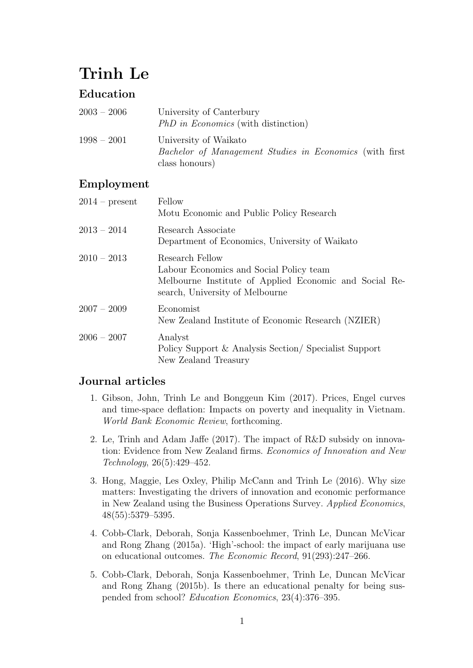# Trinh Le

# Education

| $2003 - 2006$ | University of Canterbury<br><i>PhD in Economics</i> (with distinction)                                    |
|---------------|-----------------------------------------------------------------------------------------------------------|
| $1998 - 2001$ | University of Waikato<br><i>Bachelor of Management Studies in Economics</i> (with first<br>class honours) |

## Employment

| $2014$ – present | Fellow<br>Motu Economic and Public Policy Research                                                                                                      |
|------------------|---------------------------------------------------------------------------------------------------------------------------------------------------------|
| $2013 - 2014$    | Research Associate<br>Department of Economics, University of Waikato                                                                                    |
| $2010 - 2013$    | Research Fellow<br>Labour Economics and Social Policy team<br>Melbourne Institute of Applied Economic and Social Re-<br>search, University of Melbourne |
| $2007 - 2009$    | Economist<br>New Zealand Institute of Economic Research (NZIER)                                                                                         |
| $2006 - 2007$    | Analyst<br>Policy Support & Analysis Section/ Specialist Support<br>New Zealand Treasury                                                                |

### Journal articles

- 1. Gibson, John, Trinh Le and Bonggeun Kim (2017). Prices, Engel curves and time-space deflation: Impacts on poverty and inequality in Vietnam. World Bank Economic Review, forthcoming.
- 2. Le, Trinh and Adam Jaffe (2017). The impact of R&D subsidy on innovation: Evidence from New Zealand firms. Economics of Innovation and New Technology, 26(5):429–452.
- 3. Hong, Maggie, Les Oxley, Philip McCann and Trinh Le (2016). Why size matters: Investigating the drivers of innovation and economic performance in New Zealand using the Business Operations Survey. Applied Economics, 48(55):5379–5395.
- 4. Cobb-Clark, Deborah, Sonja Kassenboehmer, Trinh Le, Duncan McVicar and Rong Zhang (2015a). 'High'-school: the impact of early marijuana use on educational outcomes. The Economic Record, 91(293):247–266.
- 5. Cobb-Clark, Deborah, Sonja Kassenboehmer, Trinh Le, Duncan McVicar and Rong Zhang (2015b). Is there an educational penalty for being suspended from school? Education Economics, 23(4):376–395.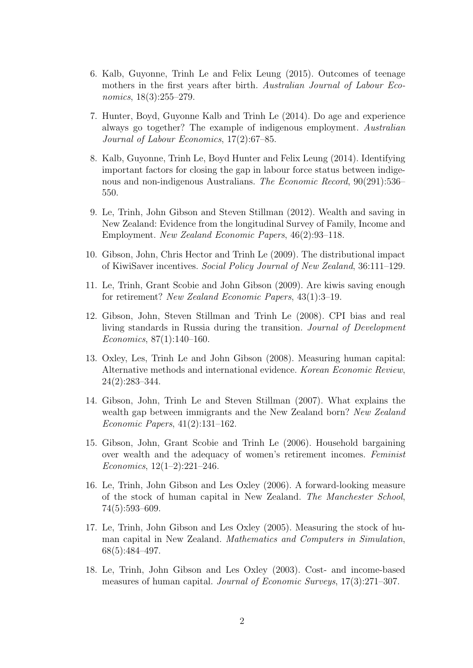- 6. Kalb, Guyonne, Trinh Le and Felix Leung (2015). Outcomes of teenage mothers in the first years after birth. Australian Journal of Labour Economics, 18(3):255–279.
- 7. Hunter, Boyd, Guyonne Kalb and Trinh Le (2014). Do age and experience always go together? The example of indigenous employment. Australian Journal of Labour Economics, 17(2):67–85.
- 8. Kalb, Guyonne, Trinh Le, Boyd Hunter and Felix Leung (2014). Identifying important factors for closing the gap in labour force status between indigenous and non-indigenous Australians. The Economic Record, 90(291):536– 550.
- 9. Le, Trinh, John Gibson and Steven Stillman (2012). Wealth and saving in New Zealand: Evidence from the longitudinal Survey of Family, Income and Employment. New Zealand Economic Papers, 46(2):93–118.
- 10. Gibson, John, Chris Hector and Trinh Le (2009). The distributional impact of KiwiSaver incentives. Social Policy Journal of New Zealand, 36:111–129.
- 11. Le, Trinh, Grant Scobie and John Gibson (2009). Are kiwis saving enough for retirement? New Zealand Economic Papers, 43(1):3–19.
- 12. Gibson, John, Steven Stillman and Trinh Le (2008). CPI bias and real living standards in Russia during the transition. Journal of Development Economics, 87(1):140–160.
- 13. Oxley, Les, Trinh Le and John Gibson (2008). Measuring human capital: Alternative methods and international evidence. Korean Economic Review, 24(2):283–344.
- 14. Gibson, John, Trinh Le and Steven Stillman (2007). What explains the wealth gap between immigrants and the New Zealand born? New Zealand Economic Papers, 41(2):131–162.
- 15. Gibson, John, Grant Scobie and Trinh Le (2006). Household bargaining over wealth and the adequacy of women's retirement incomes. Feminist Economics, 12(1–2):221–246.
- 16. Le, Trinh, John Gibson and Les Oxley (2006). A forward-looking measure of the stock of human capital in New Zealand. The Manchester School, 74(5):593–609.
- 17. Le, Trinh, John Gibson and Les Oxley (2005). Measuring the stock of human capital in New Zealand. Mathematics and Computers in Simulation, 68(5):484–497.
- 18. Le, Trinh, John Gibson and Les Oxley (2003). Cost- and income-based measures of human capital. Journal of Economic Surveys, 17(3):271–307.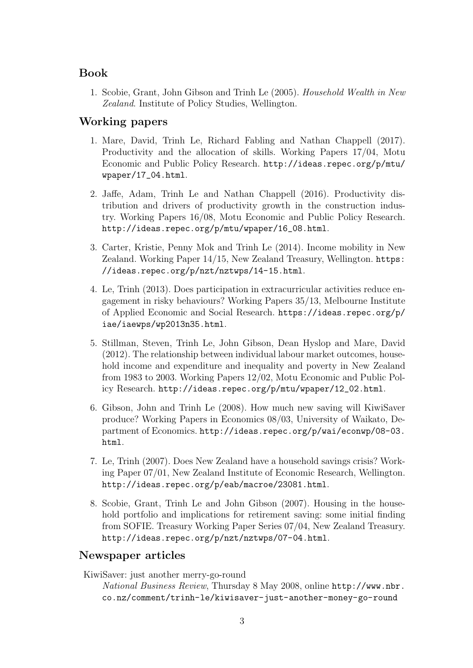#### Book

1. Scobie, Grant, John Gibson and Trinh Le (2005). Household Wealth in New Zealand. Institute of Policy Studies, Wellington.

#### Working papers

- 1. Mare, David, Trinh Le, Richard Fabling and Nathan Chappell (2017). Productivity and the allocation of skills. Working Papers 17/04, Motu Economic and Public Policy Research. [http://ideas.repec.org/p/mtu/](http://ideas.repec.org/p/mtu/wpaper/17_04.html) [wpaper/17\\_04.html](http://ideas.repec.org/p/mtu/wpaper/17_04.html).
- 2. Jaffe, Adam, Trinh Le and Nathan Chappell (2016). Productivity distribution and drivers of productivity growth in the construction industry. Working Papers 16/08, Motu Economic and Public Policy Research. [http://ideas.repec.org/p/mtu/wpaper/16\\_08.html](http://ideas.repec.org/p/mtu/wpaper/16_08.html).
- 3. Carter, Kristie, Penny Mok and Trinh Le (2014). Income mobility in New Zealand. Working Paper 14/15, New Zealand Treasury, Wellington. [https:](https://ideas.repec.org/p/nzt/nztwps/14-15.html) [//ideas.repec.org/p/nzt/nztwps/14-15.html](https://ideas.repec.org/p/nzt/nztwps/14-15.html).
- 4. Le, Trinh (2013). Does participation in extracurricular activities reduce engagement in risky behaviours? Working Papers 35/13, Melbourne Institute of Applied Economic and Social Research. [https://ideas.repec.org/p/](https://ideas.repec.org/p/iae/iaewps/wp2013n35.html) [iae/iaewps/wp2013n35.html](https://ideas.repec.org/p/iae/iaewps/wp2013n35.html).
- 5. Stillman, Steven, Trinh Le, John Gibson, Dean Hyslop and Mare, David (2012). The relationship between individual labour market outcomes, household income and expenditure and inequality and poverty in New Zealand from 1983 to 2003. Working Papers 12/02, Motu Economic and Public Policy Research. [http://ideas.repec.org/p/mtu/wpaper/12\\_02.html](http://ideas.repec.org/p/mtu/wpaper/12_02.html).
- 6. Gibson, John and Trinh Le (2008). How much new saving will KiwiSaver produce? Working Papers in Economics 08/03, University of Waikato, Department of Economics. [http://ideas.repec.org/p/wai/econwp/08-03.](http://ideas.repec.org/p/wai/econwp/08-03.html) [html](http://ideas.repec.org/p/wai/econwp/08-03.html).
- 7. Le, Trinh (2007). Does New Zealand have a household savings crisis? Working Paper 07/01, New Zealand Institute of Economic Research, Wellington. <http://ideas.repec.org/p/eab/macroe/23081.html>.
- 8. Scobie, Grant, Trinh Le and John Gibson (2007). Housing in the household portfolio and implications for retirement saving: some initial finding from SOFIE. Treasury Working Paper Series 07/04, New Zealand Treasury. <http://ideas.repec.org/p/nzt/nztwps/07-04.html>.

#### Newspaper articles

KiwiSaver: just another merry-go-round

National Business Review, Thursday 8 May 2008, online [http://www.nbr.](http://www.nbr.co.nz/comment/trinh-le/kiwisaver-just-another-money-go-round) [co.nz/comment/trinh-le/kiwisaver-just-another-money-go-round](http://www.nbr.co.nz/comment/trinh-le/kiwisaver-just-another-money-go-round)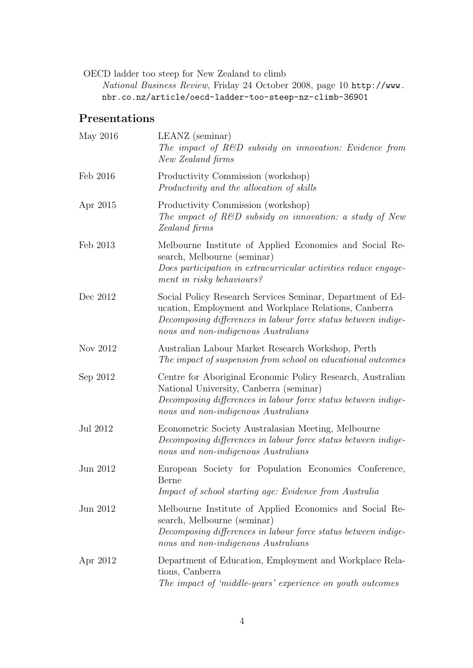OECD ladder too steep for New Zealand to climb

National Business Review, Friday 24 October 2008, page 10 [http://www.](http://www.nbr.co.nz/article/oecd-ladder-too-steep-nz-climb-36901) [nbr.co.nz/article/oecd-ladder-too-steep-nz-climb-36901](http://www.nbr.co.nz/article/oecd-ladder-too-steep-nz-climb-36901)

#### Presentations

| May 2016 | LEANZ (seminar)<br>The impact of $R\&D$ subsidy on innovation: Evidence from<br>New Zealand firms                                                                                                                            |
|----------|------------------------------------------------------------------------------------------------------------------------------------------------------------------------------------------------------------------------------|
| Feb 2016 | Productivity Commission (workshop)<br>Productivity and the allocation of skills                                                                                                                                              |
| Apr 2015 | Productivity Commission (workshop)<br>The impact of $R\&D$ subsidy on innovation: a study of New<br>Zealand firms                                                                                                            |
| Feb 2013 | Melbourne Institute of Applied Economics and Social Re-<br>search, Melbourne (seminar)<br>Does participation in extracurricular activities reduce engage-<br>ment in risky behaviours?                                       |
| Dec 2012 | Social Policy Research Services Seminar, Department of Ed-<br>ucation, Employment and Workplace Relations, Canberra<br>Decomposing differences in labour force status between indige-<br>nous and non-indigenous Australians |
| Nov 2012 | Australian Labour Market Research Workshop, Perth<br>The impact of suspension from school on educational outcomes                                                                                                            |
| Sep 2012 | Centre for Aboriginal Economic Policy Research, Australian<br>National University, Canberra (seminar)<br>Decomposing differences in labour force status between indige-<br>nous and non-indigenous Australians               |
| Jul 2012 | Econometric Society Australasian Meeting, Melbourne<br>Decomposing differences in labour force status between indige-<br>nous and non-indigenous Australians                                                                 |
| Jun 2012 | European Society for Population Economics Conference,<br>Berne<br>Impact of school starting age: Evidence from Australia                                                                                                     |
| Jun 2012 | Melbourne Institute of Applied Economics and Social Re-<br>search, Melbourne (seminar)<br>Decomposing differences in labour force status between indige-<br>nous and non-indigenous Australians                              |
| Apr 2012 | Department of Education, Employment and Workplace Rela-<br>tions, Canberra<br>The impact of 'middle-years' experience on youth outcomes                                                                                      |